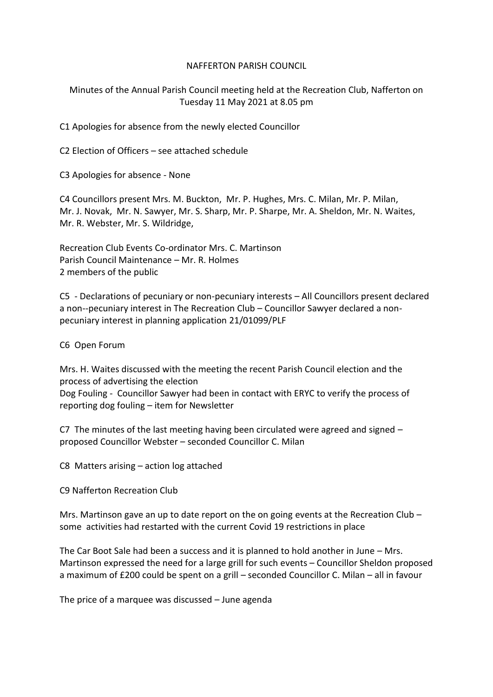#### NAFFERTON PARISH COUNCIL

Minutes of the Annual Parish Council meeting held at the Recreation Club, Nafferton on Tuesday 11 May 2021 at 8.05 pm

C1 Apologies for absence from the newly elected Councillor

C2 Election of Officers – see attached schedule

C3 Apologies for absence - None

C4 Councillors present Mrs. M. Buckton, Mr. P. Hughes, Mrs. C. Milan, Mr. P. Milan, Mr. J. Novak, Mr. N. Sawyer, Mr. S. Sharp, Mr. P. Sharpe, Mr. A. Sheldon, Mr. N. Waites, Mr. R. Webster, Mr. S. Wildridge,

Recreation Club Events Co-ordinator Mrs. C. Martinson Parish Council Maintenance – Mr. R. Holmes 2 members of the public

C5 - Declarations of pecuniary or non-pecuniary interests – All Councillors present declared a non--pecuniary interest in The Recreation Club – Councillor Sawyer declared a nonpecuniary interest in planning application 21/01099/PLF

C6 Open Forum

Mrs. H. Waites discussed with the meeting the recent Parish Council election and the process of advertising the election Dog Fouling - Councillor Sawyer had been in contact with ERYC to verify the process of reporting dog fouling – item for Newsletter

C7 The minutes of the last meeting having been circulated were agreed and signed – proposed Councillor Webster – seconded Councillor C. Milan

C8 Matters arising – action log attached

C9 Nafferton Recreation Club

Mrs. Martinson gave an up to date report on the on going events at the Recreation Club – some activities had restarted with the current Covid 19 restrictions in place

The Car Boot Sale had been a success and it is planned to hold another in June – Mrs. Martinson expressed the need for a large grill for such events – Councillor Sheldon proposed a maximum of £200 could be spent on a grill – seconded Councillor C. Milan – all in favour

The price of a marquee was discussed – June agenda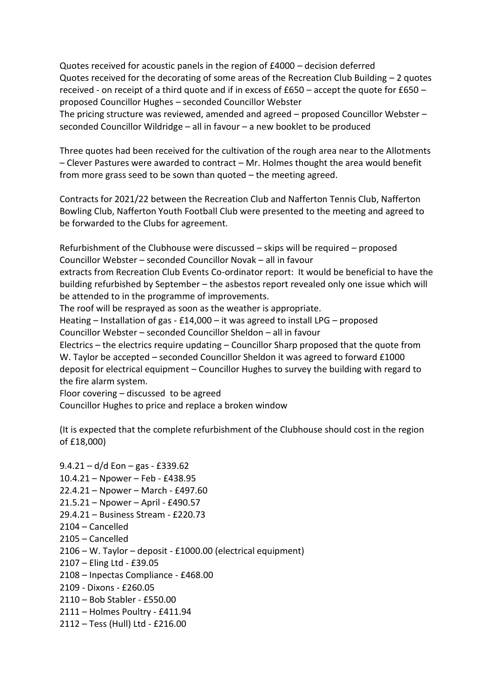Quotes received for acoustic panels in the region of £4000 – decision deferred Quotes received for the decorating of some areas of the Recreation Club Building – 2 quotes received - on receipt of a third quote and if in excess of £650 – accept the quote for £650 – proposed Councillor Hughes – seconded Councillor Webster The pricing structure was reviewed, amended and agreed – proposed Councillor Webster – seconded Councillor Wildridge – all in favour – a new booklet to be produced

Three quotes had been received for the cultivation of the rough area near to the Allotments – Clever Pastures were awarded to contract – Mr. Holmes thought the area would benefit from more grass seed to be sown than quoted – the meeting agreed.

Contracts for 2021/22 between the Recreation Club and Nafferton Tennis Club, Nafferton Bowling Club, Nafferton Youth Football Club were presented to the meeting and agreed to be forwarded to the Clubs for agreement.

Refurbishment of the Clubhouse were discussed – skips will be required – proposed Councillor Webster – seconded Councillor Novak – all in favour

extracts from Recreation Club Events Co-ordinator report: It would be beneficial to have the building refurbished by September – the asbestos report revealed only one issue which will be attended to in the programme of improvements.

The roof will be resprayed as soon as the weather is appropriate.

Heating – Installation of gas - £14,000 – it was agreed to install LPG – proposed

Councillor Webster – seconded Councillor Sheldon – all in favour

Electrics – the electrics require updating – Councillor Sharp proposed that the quote from W. Taylor be accepted – seconded Councillor Sheldon it was agreed to forward £1000 deposit for electrical equipment – Councillor Hughes to survey the building with regard to the fire alarm system.

Floor covering – discussed to be agreed

Councillor Hughes to price and replace a broken window

(It is expected that the complete refurbishment of the Clubhouse should cost in the region of £18,000)

9.4.21 – d/d Eon – gas - £339.62 10.4.21 – Npower – Feb - £438.95 22.4.21 – Npower – March - £497.60 21.5.21 – Npower – April - £490.57 29.4.21 – Business Stream - £220.73 2104 – Cancelled 2105 – Cancelled 2106 – W. Taylor – deposit - £1000.00 (electrical equipment) 2107 – Eling Ltd - £39.05 2108 – Inpectas Compliance - £468.00 2109 - Dixons - £260.05 2110 – Bob Stabler - £550.00 2111 – Holmes Poultry - £411.94 2112 – Tess (Hull) Ltd - £216.00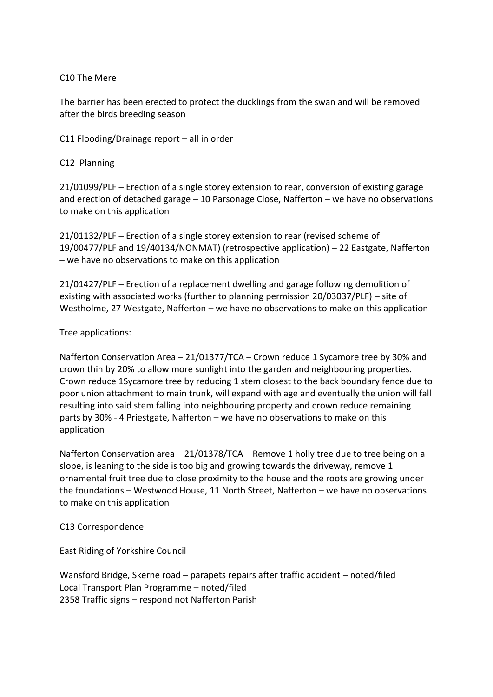# C10 The Mere

The barrier has been erected to protect the ducklings from the swan and will be removed after the birds breeding season

C11 Flooding/Drainage report – all in order

# C12 Planning

21/01099/PLF – Erection of a single storey extension to rear, conversion of existing garage and erection of detached garage – 10 Parsonage Close, Nafferton – we have no observations to make on this application

21/01132/PLF – Erection of a single storey extension to rear (revised scheme of 19/00477/PLF and 19/40134/NONMAT) (retrospective application) – 22 Eastgate, Nafferton – we have no observations to make on this application

21/01427/PLF – Erection of a replacement dwelling and garage following demolition of existing with associated works (further to planning permission 20/03037/PLF) – site of Westholme, 27 Westgate, Nafferton – we have no observations to make on this application

# Tree applications:

Nafferton Conservation Area – 21/01377/TCA – Crown reduce 1 Sycamore tree by 30% and crown thin by 20% to allow more sunlight into the garden and neighbouring properties. Crown reduce 1Sycamore tree by reducing 1 stem closest to the back boundary fence due to poor union attachment to main trunk, will expand with age and eventually the union will fall resulting into said stem falling into neighbouring property and crown reduce remaining parts by 30% - 4 Priestgate, Nafferton – we have no observations to make on this application

Nafferton Conservation area – 21/01378/TCA – Remove 1 holly tree due to tree being on a slope, is leaning to the side is too big and growing towards the driveway, remove 1 ornamental fruit tree due to close proximity to the house and the roots are growing under the foundations – Westwood House, 11 North Street, Nafferton – we have no observations to make on this application

C13 Correspondence

East Riding of Yorkshire Council

Wansford Bridge, Skerne road – parapets repairs after traffic accident – noted/filed Local Transport Plan Programme – noted/filed 2358 Traffic signs – respond not Nafferton Parish